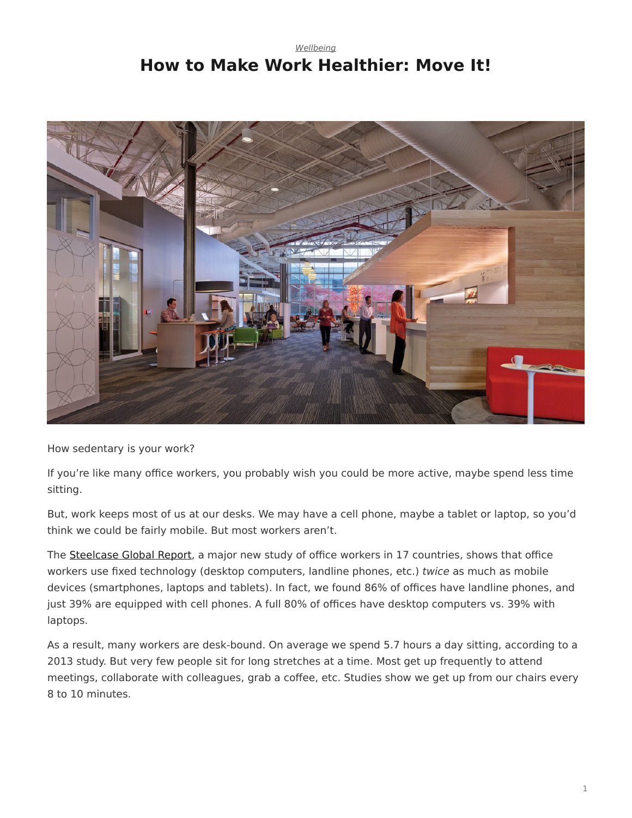### <span id="page-0-0"></span>*[Wellbeing](https://www.steelcase.com/research/topics/wellbeing/)* **How to Make Work Healthier: Move It!**



How sedentary is your work?

If you're like many office workers, you probably wish you could be more active, maybe spend less time sitting.

But, work keeps most of us at our desks. We may have a cell phone, maybe a tablet or laptop, so you'd think we could be fairly mobile. But most workers aren't.

The [Steelcase Global Report,](http://info.steelcase.com/) a major new study of office workers in 17 countries, shows that office workers use fixed technology (desktop computers, landline phones, etc.) *twice* as much as mobile devices (smartphones, laptops and tablets). In fact, we found 86% of offices have landline phones, and just 39% are equipped with cell phones. A full 80% of offices have desktop computers vs. 39% with laptops.

As a result, many workers are desk-bound. On average we spend 5.7 hours a day sitting, according to a 2013 study. But very few people sit for long stretches at a time. Most get up frequently to attend meetings, collaborate with colleagues, grab a coffee, etc. Studies show we get up from our chairs every 8 to 10 minutes.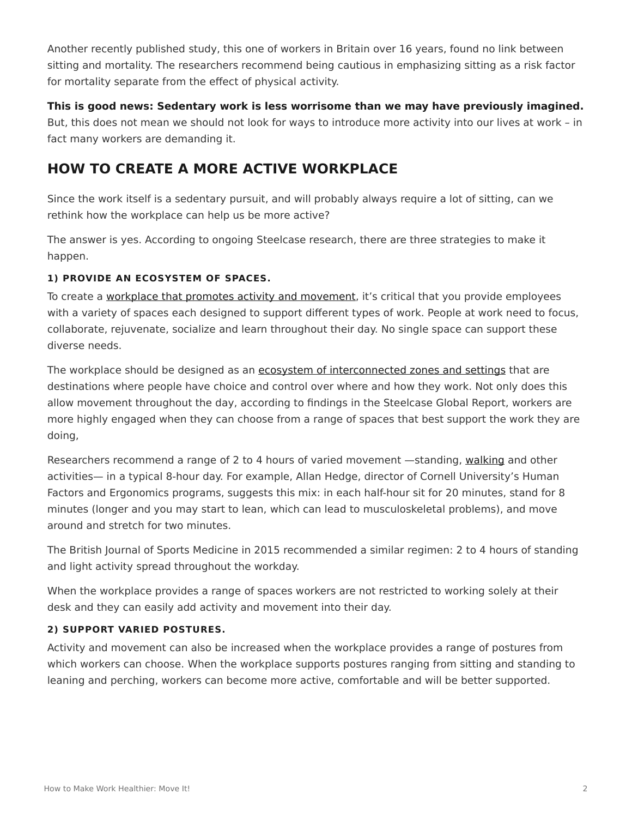Another recently published study, this one of workers in Britain over 16 years, found no link between sitting and mortality. The researchers recommend being cautious in emphasizing sitting as a risk factor for mortality separate from the effect of physical activity.

**This is good news: Sedentary work is less worrisome than we may have previously imagined.** But, this does not mean we should not look for ways to introduce more activity into our lives at work – in fact many workers are demanding it.

# **HOW TO CREATE A MORE ACTIVE WORKPLACE**

Since the work itself is a sedentary pursuit, and will probably always require a lot of sitting, can we rethink how the workplace can help us be more active?

The answer is yes. According to ongoing Steelcase research, there are three strategies to make it happen.

### **1) PROVIDE AN ECOSYSTEM OF SPACES.**

To create a [workplace that promotes activity and movement,](https://www.steelcase.com/employee-wellbeing/) it's critical that you provide employees with a variety of spaces each designed to support different types of work. People at work need to focus, collaborate, rejuvenate, socialize and learn throughout their day. No single space can support these diverse needs.

The workplace should be designed as an [ecosystem of interconnected zones and settings](https://www.steelcase.com/resources/space-planning-ideas/?tax[application_type]=conference-meeting,desking,enclave,hd-videoconferencing,in-between-spaces,meeting-commons,nomadic-camp,open-plan,private-office,resident-neighborhood,social-hub,homebase,workcafe) that are destinations where people have choice and control over where and how they work. Not only does this allow movement throughout the day, according to findings in the Steelcase Global Report, workers are more highly engaged when they can choose from a range of spaces that best support the work they are doing,

Researchers recommend a range of 2 to 4 hours of varied movement —standing, [walking](https://www.steelcase.com/products/height-adjustable-desks/walkstation/) and other activities— in a typical 8-hour day. For example, Allan Hedge, director of Cornell University's Human Factors and Ergonomics programs, suggests this mix: in each half-hour sit for 20 minutes, stand for 8 minutes (longer and you may start to lean, which can lead to musculoskeletal problems), and move around and stretch for two minutes.

The British Journal of Sports Medicine in 2015 recommended a similar regimen: 2 to 4 hours of standing and light activity spread throughout the workday.

When the workplace provides a range of spaces workers are not restricted to working solely at their desk and they can easily add activity and movement into their day.

### **2) SUPPORT VARIED POSTURES.**

Activity and movement can also be increased when the workplace provides a range of postures from which workers can choose. When the workplace supports postures ranging from sitting and standing to leaning and perching, workers can become more active, comfortable and will be better supported.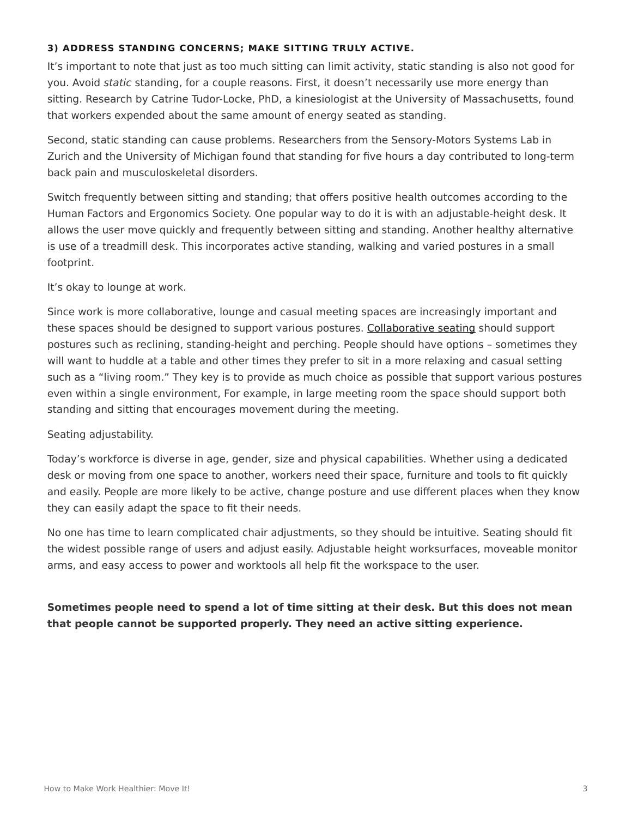### **3) ADDRESS STANDING CONCERNS; MAKE SITTING TRULY ACTIVE.**

It's important to note that just as too much sitting can limit activity, static standing is also not good for you. Avoid *static* standing, for a couple reasons. First, it doesn't necessarily use more energy than sitting. Research by Catrine Tudor-Locke, PhD, a kinesiologist at the University of Massachusetts, found that workers expended about the same amount of energy seated as standing.

Second, static standing can cause problems. Researchers from the Sensory-Motors Systems Lab in Zurich and the University of Michigan found that standing for five hours a day contributed to long-term back pain and musculoskeletal disorders.

Switch frequently between sitting and standing; that offers positive health outcomes according to the Human Factors and Ergonomics Society. One popular way to do it is with an adjustable-height desk. It allows the user move quickly and frequently between sitting and standing. Another healthy alternative is use of a treadmill desk. This incorporates active standing, walking and varied postures in a small footprint.

It's okay to lounge at work.

Since work is more collaborative, lounge and casual meeting spaces are increasingly important and these spaces should be designed to support various postures. [Collaborative seating](https://www.steelcase.com/products/conference-chairs/) should support postures such as reclining, standing-height and perching. People should have options – sometimes they will want to huddle at a table and other times they prefer to sit in a more relaxing and casual setting such as a "living room." They key is to provide as much choice as possible that support various postures even within a single environment, For example, in large meeting room the space should support both standing and sitting that encourages movement during the meeting.

#### Seating adjustability.

Today's workforce is diverse in age, gender, size and physical capabilities. Whether using a dedicated desk or moving from one space to another, workers need their space, furniture and tools to fit quickly and easily. People are more likely to be active, change posture and use different places when they know they can easily adapt the space to fit their needs.

No one has time to learn complicated chair adjustments, so they should be intuitive. Seating should fit the widest possible range of users and adjust easily. Adjustable height worksurfaces, moveable monitor arms, and easy access to power and worktools all help fit the workspace to the user.

**Sometimes people need to spend a lot of time sitting at their desk. But this does not mean that people cannot be supported properly. They need an active sitting experience.**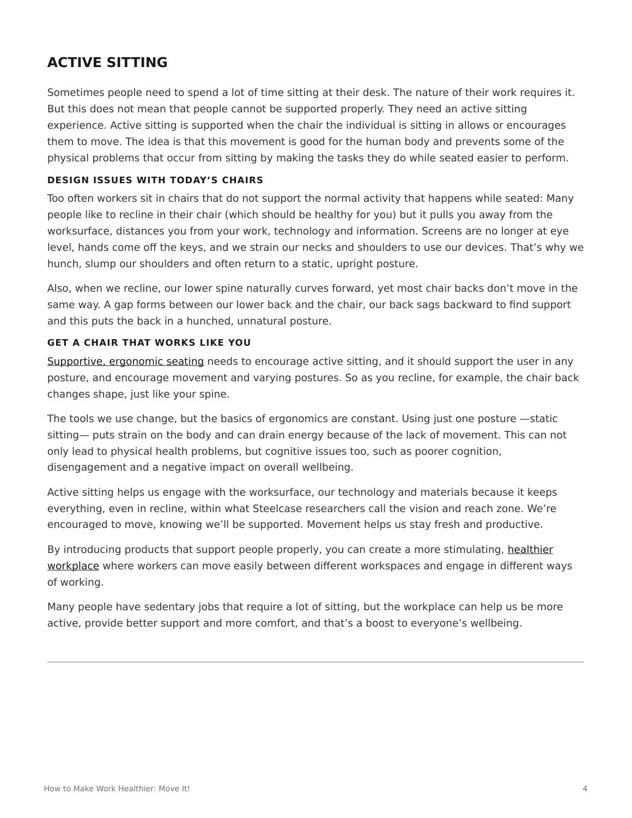## **ACTIVE SITTING**

Sometimes people need to spend a lot of time sitting at their desk. The nature of their work requires it. But this does not mean that people cannot be supported properly. They need an active sitting experience. Active sitting is supported when the chair the individual is sitting in allows or encourages them to move. The idea is that this movement is good for the human body and prevents some of the physical problems that occur from sitting by making the tasks they do while seated easier to perform.

### **DESIGN ISSUES WITH TODAY'S CHAIRS**

Too often workers sit in chairs that do not support the normal activity that happens while seated: Many people like to recline in their chair (which should be healthy for you) but it pulls you away from the worksurface, distances you from your work, technology and information. Screens are no longer at eye level, hands come off the keys, and we strain our necks and shoulders to use our devices. That's why we hunch, slump our shoulders and often return to a static, upright posture.

Also, when we recline, our lower spine naturally curves forward, yet most chair backs don't move in the same way. A gap forms between our lower back and the chair, our back sags backward to find support and this puts the back in a hunched, unnatural posture.

#### **GET A CHAIR THAT WORKS LIKE YOU**

[Supportive, ergonomic seating](https://www.steelcase.com/products/office-chairs/gesture/) needs to encourage active sitting, and it should support the user in any posture, and encourage movement and varying postures. So as you recline, for example, the chair back changes shape, just like your spine.

The tools we use change, but the basics of ergonomics are constant. Using just one posture —static sitting— puts strain on the body and can drain energy because of the lack of movement. This can not only lead to physical health problems, but cognitive issues too, such as poorer cognition, disengagement and a negative impact on overall wellbeing.

Active sitting helps us engage with the worksurface, our technology and materials because it keeps everything, even in recline, within what Steelcase researchers call the vision and reach zone. We're encouraged to move, knowing we'll be supported. Movement helps us stay fresh and productive.

By introducing products that support people properly, you can create a more stimulating, [healthier](https://www.steelcase.com/insights/articles/six-dimensions-of-wellbeing-in-the-workplace/) [workplace](https://www.steelcase.com/insights/articles/six-dimensions-of-wellbeing-in-the-workplace/) where workers can move easily between different workspaces and engage in different ways of working.

Many people have sedentary jobs that require a lot of sitting, but the workplace can help us be more active, provide better support and more comfort, and that's a boost to everyone's wellbeing.